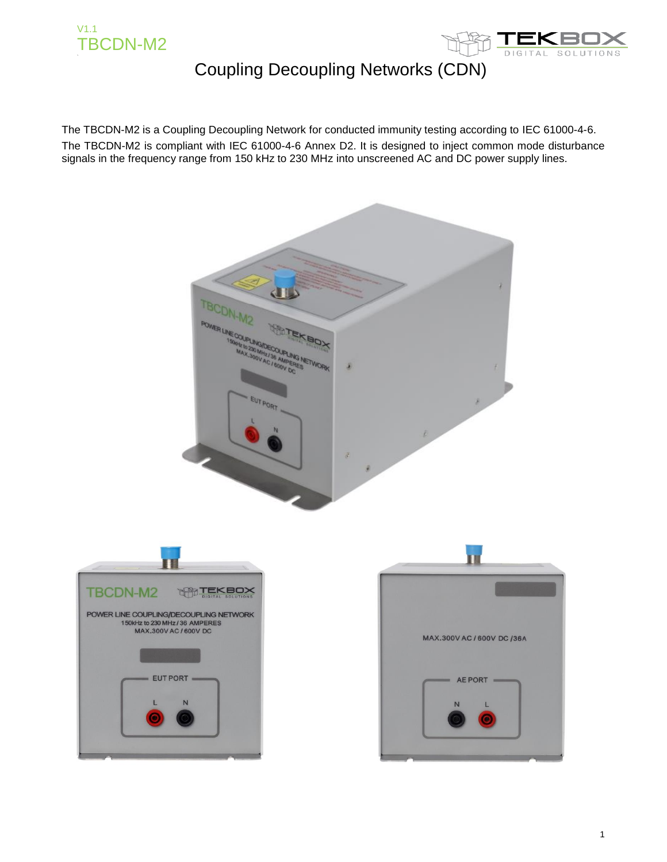



The TBCDN-M2 is a Coupling Decoupling Network for conducted immunity testing according to IEC 61000-4-6. The TBCDN-M2 is compliant with IEC 61000-4-6 Annex D2. It is designed to inject common mode disturbance signals in the frequency range from 150 kHz to 230 MHz into unscreened AC and DC power supply lines.

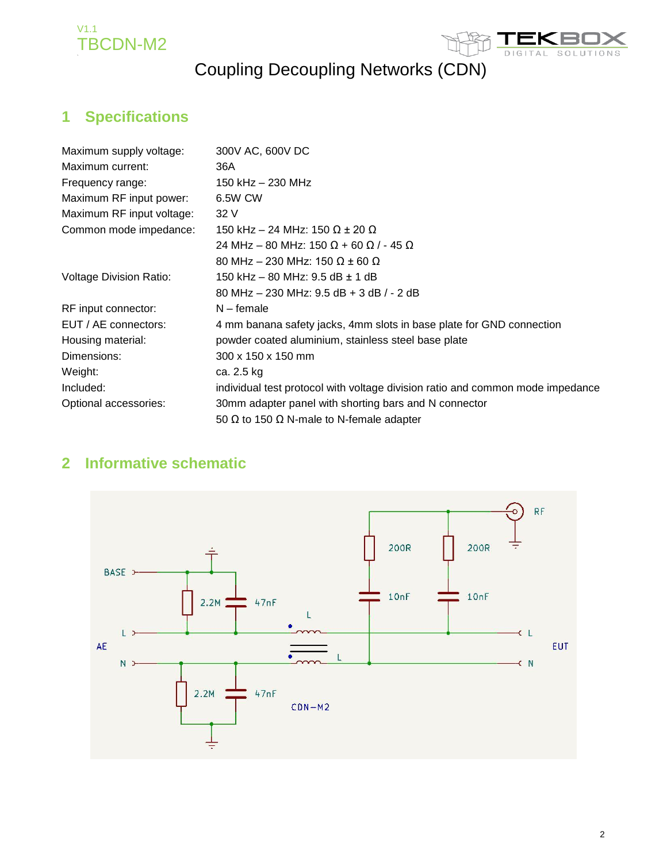



#### **1 Specifications**

| Maximum supply voltage:        | 300V AC, 600V DC                                                               |
|--------------------------------|--------------------------------------------------------------------------------|
| Maximum current:               | 36A                                                                            |
| Frequency range:               | 150 kHz - 230 MHz                                                              |
| Maximum RF input power:        | 6.5W CW                                                                        |
| Maximum RF input voltage:      | 32 V                                                                           |
| Common mode impedance:         | 150 kHz – 24 MHz: 150 Ω ± 20 Ω                                                 |
|                                | 24 MHz – 80 MHz: 150 Ω + 60 Ω / - 45 Ω                                         |
|                                | 80 MHz – 230 MHz: 150 Ω ± 60 Ω                                                 |
| <b>Voltage Division Ratio:</b> | 150 kHz – 80 MHz: 9.5 dB ± 1 dB                                                |
|                                | 80 MHz $-$ 230 MHz: 9.5 dB $+$ 3 dB $/$ - 2 dB                                 |
| RF input connector:            | $N$ – female                                                                   |
| EUT / AE connectors:           | 4 mm banana safety jacks, 4mm slots in base plate for GND connection           |
| Housing material:              | powder coated aluminium, stainless steel base plate                            |
| Dimensions:                    | 300 x 150 x 150 mm                                                             |
| Weight:                        | ca. 2.5 kg                                                                     |
| Included:                      | individual test protocol with voltage division ratio and common mode impedance |
| Optional accessories:          | 30mm adapter panel with shorting bars and N connector                          |
|                                | 50 $\Omega$ to 150 $\Omega$ N-male to N-female adapter                         |

#### **2 Informative schematic**

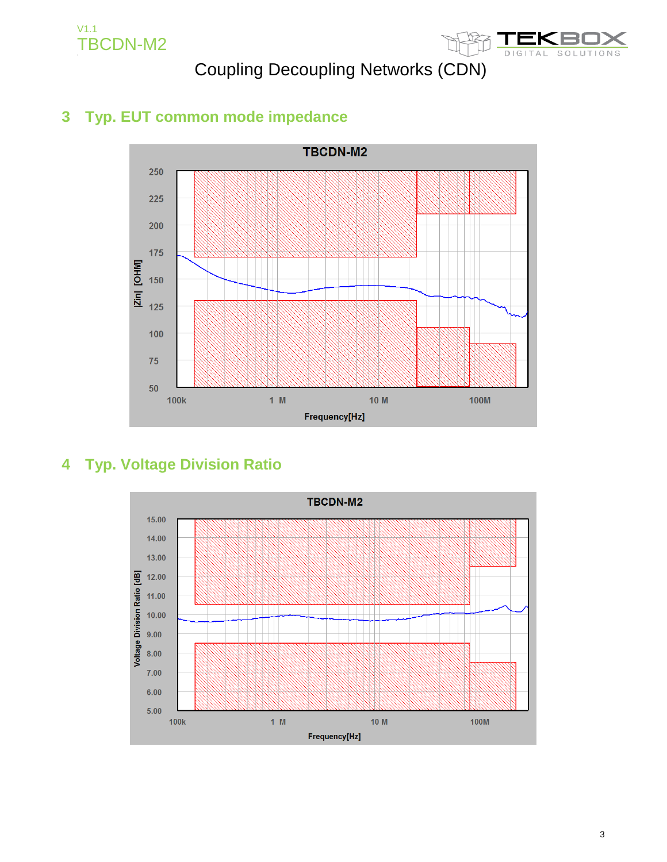



#### **3 Typ. EUT common mode impedance**



#### **4 Typ. Voltage Division Ratio**

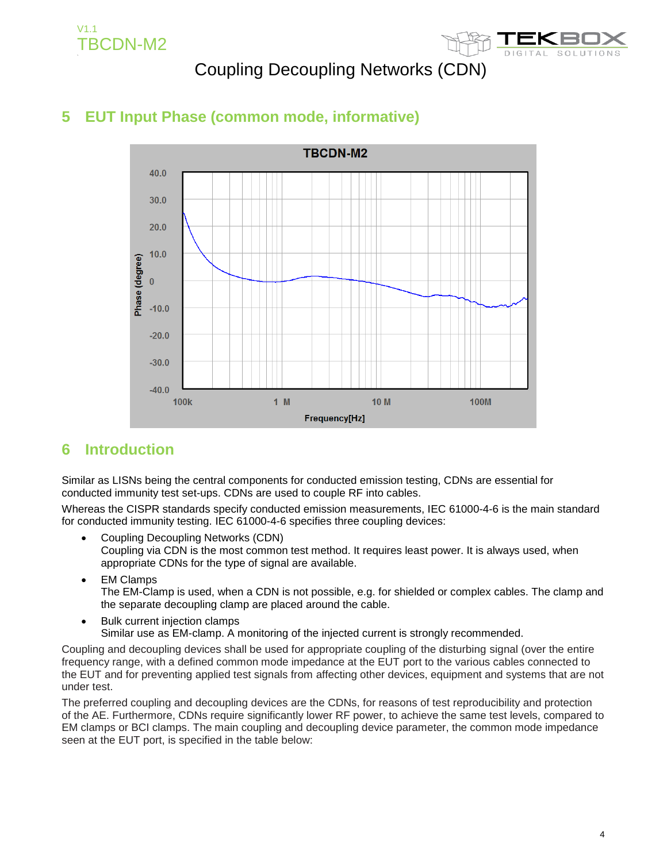V1.1 TBCDN-M2



#### Coupling Decoupling Networks (CDN)



#### **5 EUT Input Phase (common mode, informative)**

#### **6 Introduction**

Similar as LISNs being the central components for conducted emission testing, CDNs are essential for conducted immunity test set-ups. CDNs are used to couple RF into cables.

Whereas the CISPR standards specify conducted emission measurements, IEC 61000-4-6 is the main standard for conducted immunity testing. IEC 61000-4-6 specifies three coupling devices:

- Coupling Decoupling Networks (CDN) Coupling via CDN is the most common test method. It requires least power. It is always used, when appropriate CDNs for the type of signal are available.
- EM Clamps The EM-Clamp is used, when a CDN is not possible, e.g. for shielded or complex cables. The clamp and the separate decoupling clamp are placed around the cable.
- Bulk current injection clamps Similar use as EM-clamp. A monitoring of the injected current is strongly recommended.

Coupling and decoupling devices shall be used for appropriate coupling of the disturbing signal (over the entire frequency range, with a defined common mode impedance at the EUT port to the various cables connected to the EUT and for preventing applied test signals from affecting other devices, equipment and systems that are not under test.

The preferred coupling and decoupling devices are the CDNs, for reasons of test reproducibility and protection of the AE. Furthermore, CDNs require significantly lower RF power, to achieve the same test levels, compared to EM clamps or BCI clamps. The main coupling and decoupling device parameter, the common mode impedance seen at the EUT port, is specified in the table below: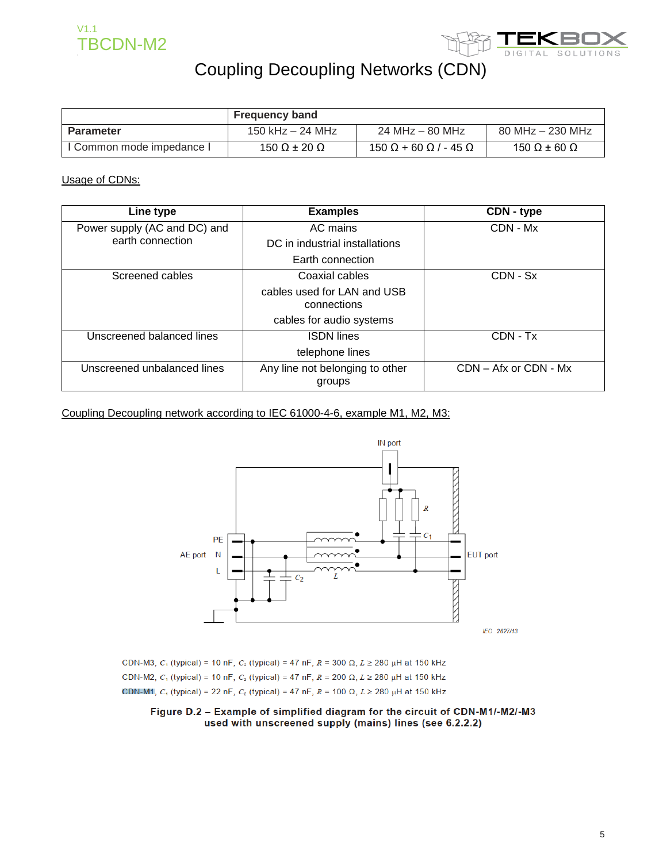



|                           | <b>Frequency band</b>      |                                          |                      |
|---------------------------|----------------------------|------------------------------------------|----------------------|
| Parameter                 | 150 kHz – 24 MHz           | 24 MHz – 80 MHz                          | $80$ MHz $-$ 230 MHz |
| I Common mode impedance I | 150 $\Omega$ ± 20 $\Omega$ | $150 \Omega + 60 \Omega$ / - 45 $\Omega$ | 150 Ω $\pm$ 60 Ω     |

Usage of CDNs:

| Line type                    | <b>Examples</b>                           | CDN - type |
|------------------------------|-------------------------------------------|------------|
| Power supply (AC and DC) and | AC mains                                  | CDN - Mx   |
| earth connection             | DC in industrial installations            |            |
|                              | Earth connection                          |            |
| Screened cables              | Coaxial cables                            | $CDN - Sx$ |
|                              | cables used for LAN and USB               |            |
|                              | connections                               |            |
|                              | cables for audio systems                  |            |
| Unscreened balanced lines    | <b>ISDN</b> lines                         | CDN - Tx   |
|                              | telephone lines                           |            |
| Unscreened unbalanced lines  | Any line not belonging to other<br>groups |            |

Coupling Decoupling network according to IEC 61000-4-6, example M1, M2, M3:



CDN-M3,  $C_1$  (typical) = 10 nF,  $C_2$  (typical) = 47 nF,  $R = 300 \Omega$ ,  $L \ge 280 \mu$ H at 150 kHz CDN-M2,  $C_1$  (typical) = 10 nF,  $C_2$  (typical) = 47 nF,  $R = 200 \Omega$ ,  $L \ge 280 \mu$ H at 150 kHz CDN-M1,  $C_1$  (typical) = 22 nF,  $C_2$  (typical) = 47 nF,  $R = 100 \Omega$ ,  $L \ge 280 \mu$ H at 150 kHz

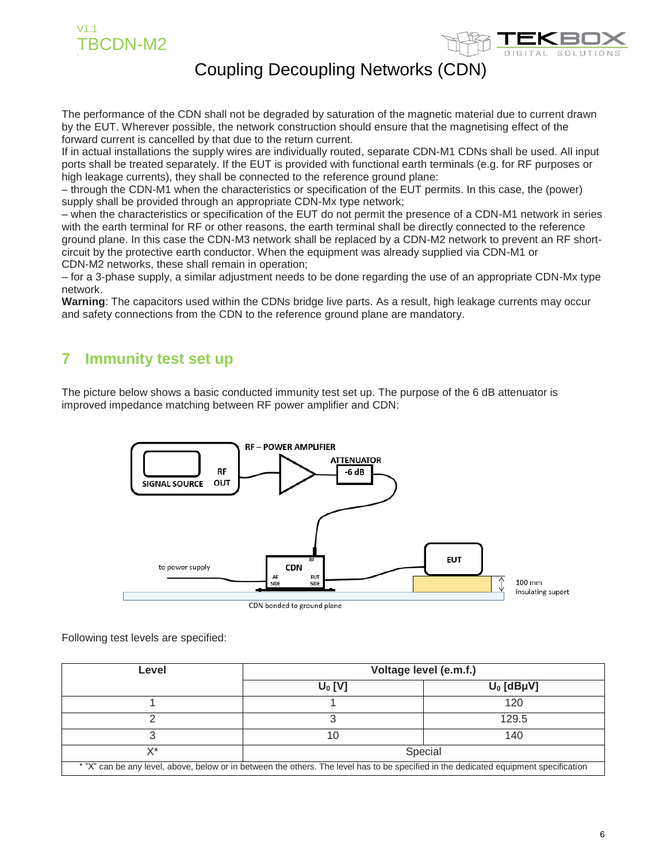



The performance of the CDN shall not be degraded by saturation of the magnetic material due to current drawn by the EUT. Wherever possible, the network construction should ensure that the magnetising effect of the forward current is cancelled by that due to the return current.

If in actual installations the supply wires are individually routed, separate CDN-M1 CDNs shall be used. All input ports shall be treated separately. If the EUT is provided with functional earth terminals (e.g. for RF purposes or high leakage currents), they shall be connected to the reference ground plane:

– through the CDN-M1 when the characteristics or specification of the EUT permits. In this case, the (power) supply shall be provided through an appropriate CDN-Mx type network;

– when the characteristics or specification of the EUT do not permit the presence of a CDN-M1 network in series with the earth terminal for RF or other reasons, the earth terminal shall be directly connected to the reference ground plane. In this case the CDN-M3 network shall be replaced by a CDN-M2 network to prevent an RF shortcircuit by the protective earth conductor. When the equipment was already supplied via CDN-M1 or CDN-M2 networks, these shall remain in operation;

– for a 3-phase supply, a similar adjustment needs to be done regarding the use of an appropriate CDN-Mx type network.

**Warning**: The capacitors used within the CDNs bridge live parts. As a result, high leakage currents may occur and safety connections from the CDN to the reference ground plane are mandatory.

#### **7 Immunity test set up**

The picture below shows a basic conducted immunity test set up. The purpose of the 6 dB attenuator is improved impedance matching between RF power amplifier and CDN:



Following test levels are specified:

| Level                                                                                                                                 | Voltage level (e.m.f.) |              |  |
|---------------------------------------------------------------------------------------------------------------------------------------|------------------------|--------------|--|
|                                                                                                                                       | $U_0$ [V]              | $U_0$ [dBµV] |  |
|                                                                                                                                       |                        | 120          |  |
|                                                                                                                                       |                        | 129.5        |  |
|                                                                                                                                       | 10                     | 140          |  |
| $\vee^*$                                                                                                                              |                        | Special      |  |
| * "X" can be any level, above, below or in between the others. The level has to be specified in the dedicated equipment specification |                        |              |  |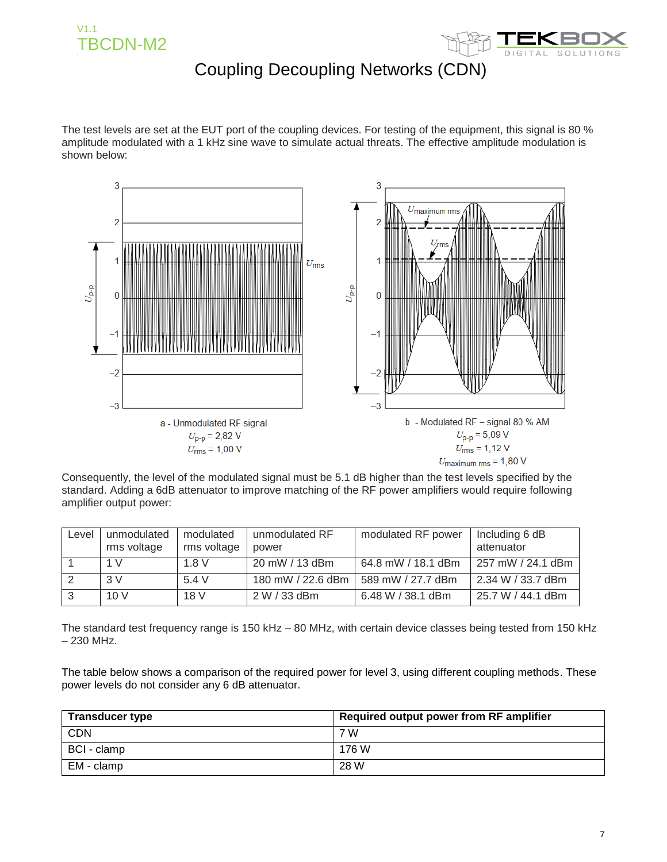



The test levels are set at the EUT port of the coupling devices. For testing of the equipment, this signal is 80 % amplitude modulated with a 1 kHz sine wave to simulate actual threats. The effective amplitude modulation is shown below:



Consequently, the level of the modulated signal must be 5.1 dB higher than the test levels specified by the standard. Adding a 6dB attenuator to improve matching of the RF power amplifiers would require following amplifier output power:

| Level | unmodulated<br>rms voltage | modulated<br>rms voltage | unmodulated RF<br>power | modulated RF power | Including 6 dB<br>attenuator |
|-------|----------------------------|--------------------------|-------------------------|--------------------|------------------------------|
|       | 1 V                        | 1.8 V                    | 20 mW / 13 dBm          | 64.8 mW / 18.1 dBm | 257 mW / 24.1 dBm            |
|       | 3V                         | 5.4 V                    | 180 mW / 22.6 dBm       | 589 mW / 27.7 dBm  | 2.34 W / 33.7 dBm            |
|       | 10V                        | 18 V                     | $2 W / 33$ dBm          | 6.48 W / 38.1 dBm  | 25.7 W / 44.1 dBm            |

The standard test frequency range is 150 kHz – 80 MHz, with certain device classes being tested from 150 kHz – 230 MHz.

The table below shows a comparison of the required power for level 3, using different coupling methods. These power levels do not consider any 6 dB attenuator.

| <b>Transducer type</b> | Required output power from RF amplifier |
|------------------------|-----------------------------------------|
| <b>CDN</b>             | 7 W                                     |
| BCI - clamp            | 176 W                                   |
| EM - clamp             | 28 W                                    |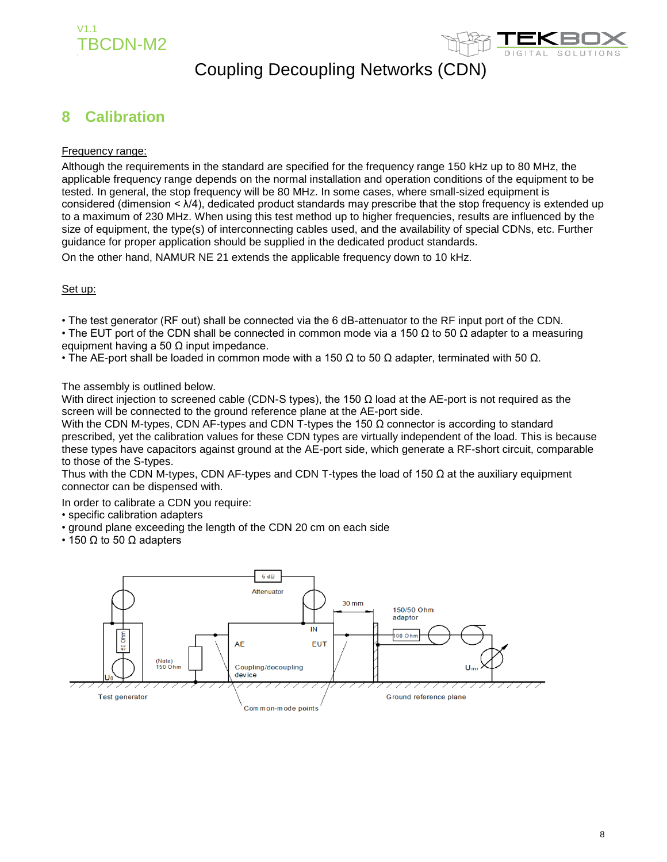



#### **8 Calibration**

#### Frequency range:

Although the requirements in the standard are specified for the frequency range 150 kHz up to 80 MHz, the applicable frequency range depends on the normal installation and operation conditions of the equipment to be tested. In general, the stop frequency will be 80 MHz. In some cases, where small-sized equipment is considered (dimension < λ/4), dedicated product standards may prescribe that the stop frequency is extended up to a maximum of 230 MHz. When using this test method up to higher frequencies, results are influenced by the size of equipment, the type(s) of interconnecting cables used, and the availability of special CDNs, etc. Further guidance for proper application should be supplied in the dedicated product standards.

On the other hand, NAMUR NE 21 extends the applicable frequency down to 10 kHz.

#### Set up:

• The test generator (RF out) shall be connected via the 6 dB-attenuator to the RF input port of the CDN.

• The EUT port of the CDN shall be connected in common mode via a 150  $\Omega$  to 50  $\Omega$  adapter to a measuring equipment having a 50  $\Omega$  input impedance.

• The AE-port shall be loaded in common mode with a 150  $\Omega$  to 50  $\Omega$  adapter, terminated with 50  $\Omega$ .

The assembly is outlined below.

With direct injection to screened cable (CDN-S types), the 150  $\Omega$  load at the AE-port is not required as the screen will be connected to the ground reference plane at the AE-port side.

With the CDN M-types, CDN AF-types and CDN T-types the 150  $\Omega$  connector is according to standard prescribed, yet the calibration values for these CDN types are virtually independent of the load. This is because these types have capacitors against ground at the AE-port side, which generate a RF-short circuit, comparable to those of the S-types.

Thus with the CDN M-types, CDN AF-types and CDN T-types the load of 150  $\Omega$  at the auxiliary equipment connector can be dispensed with.

In order to calibrate a CDN you require:

- specific calibration adapters
- ground plane exceeding the length of the CDN 20 cm on each side
- 150  $\Omega$  to 50  $\Omega$  adapters

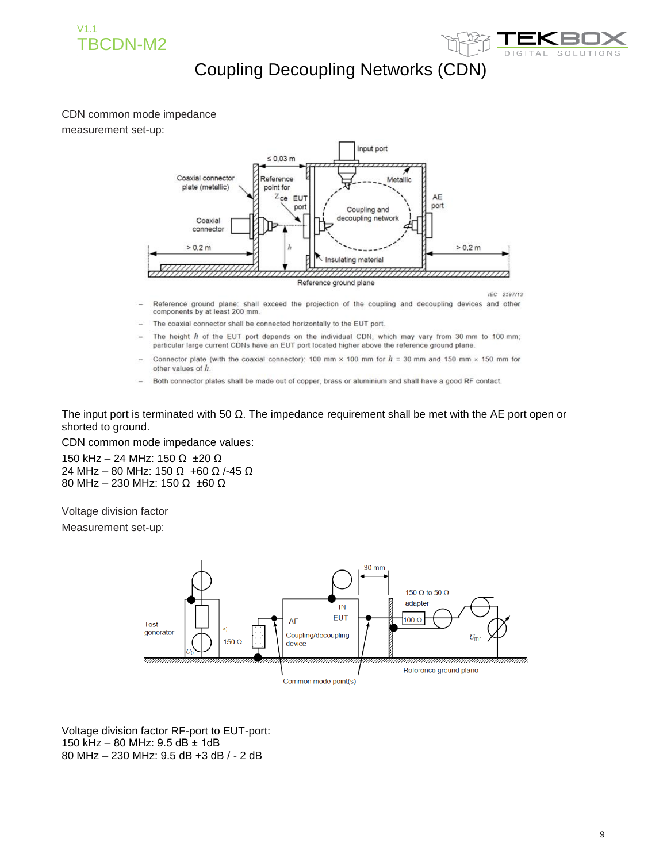



#### CDN common mode impedance

measurement set-up:



- Reference ground plane: shall exceed the projection of the coupling and decoupling devices and other components by at least 200 mm.
- The coaxial connector shall be connected horizontally to the EUT port.
- The height  $h$  of the EUT port depends on the individual CDN, which may vary from 30 mm to 100 mm; particular large current CDNs have an EUT port located higher above the reference ground plane.
- Connector plate (with the coaxial connector): 100 mm  $\times$  100 mm for  $h = 30$  mm and 150 mm  $\times$  150 mm for other values of h
- Both connector plates shall be made out of copper, brass or aluminium and shall have a good RF contact.

The input port is terminated with 50  $\Omega$ . The impedance requirement shall be met with the AE port open or shorted to ground.

CDN common mode impedance values:

150 kHz – 24 MHz: 150 Ω ±20 Ω 24 MHz – 80 MHz: 150 Ω +60 Ω /-45 Ω 80 MHz – 230 MHz: 150 Ω ±60 Ω

Voltage division factor

Measurement set-up:



Voltage division factor RF-port to EUT-port: 150 kHz – 80 MHz: 9.5 dB ± 1dB 80 MHz – 230 MHz: 9.5 dB +3 dB / - 2 dB